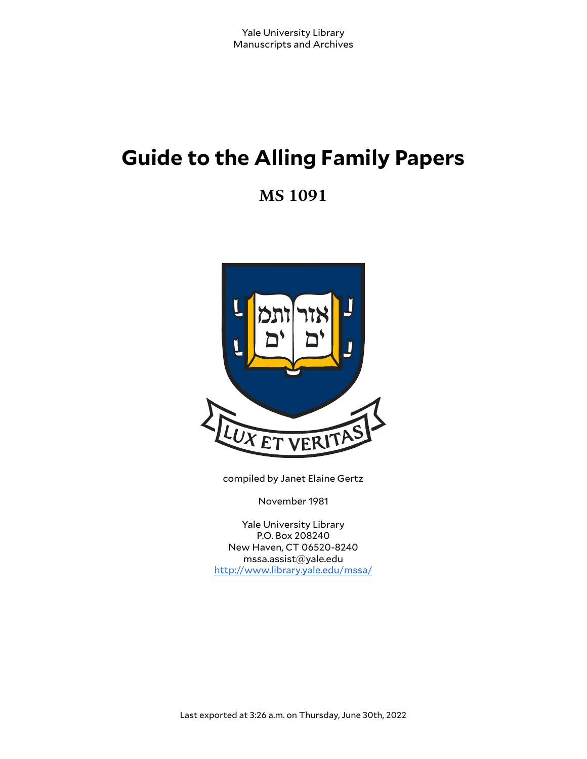# **Guide to the Alling Family Papers**

**MS 1091**



compiled by Janet Elaine Gertz

November 1981

Yale University Library P.O. Box 208240 New Haven, CT 06520-8240 mssa.assist@yale.edu <http://www.library.yale.edu/mssa/>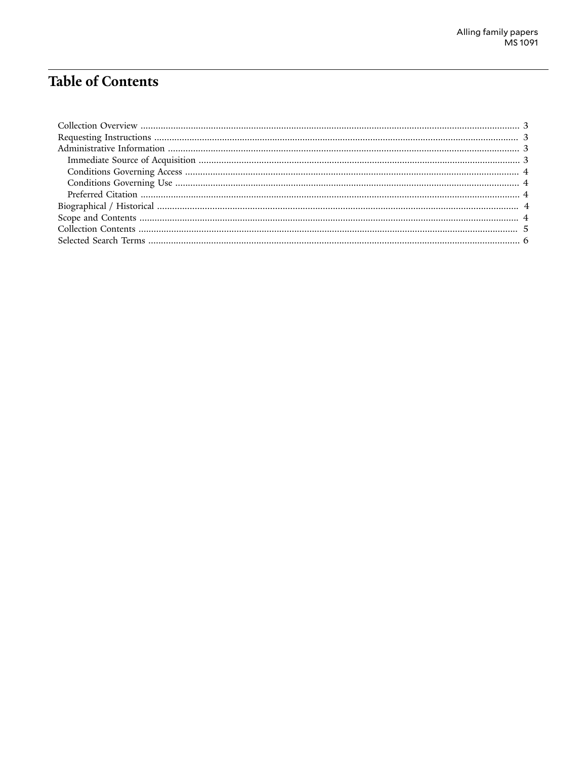# **Table of Contents**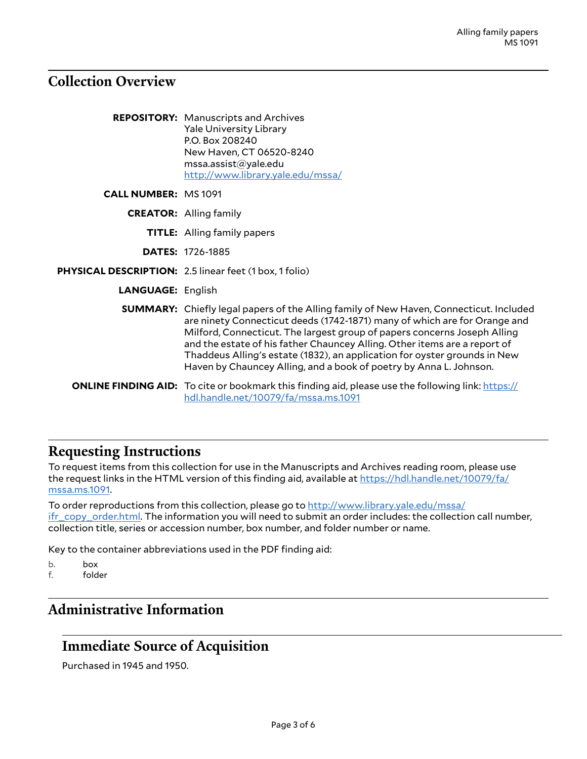# <span id="page-2-0"></span>**Collection Overview**

|                            | <b>REPOSITORY:</b> Manuscripts and Archives<br><b>Yale University Library</b><br>P.O. Box 208240<br>New Haven, CT 06520-8240<br>msa. assist@yale.edu<br>http://www.library.yale.edu/mssa/                                                                                                                                                                                                                                                                                              |  |
|----------------------------|----------------------------------------------------------------------------------------------------------------------------------------------------------------------------------------------------------------------------------------------------------------------------------------------------------------------------------------------------------------------------------------------------------------------------------------------------------------------------------------|--|
| <b>CALL NUMBER: MS1091</b> |                                                                                                                                                                                                                                                                                                                                                                                                                                                                                        |  |
|                            | <b>CREATOR:</b> Alling family                                                                                                                                                                                                                                                                                                                                                                                                                                                          |  |
|                            | <b>TITLE:</b> Alling family papers                                                                                                                                                                                                                                                                                                                                                                                                                                                     |  |
|                            | <b>DATES: 1726-1885</b>                                                                                                                                                                                                                                                                                                                                                                                                                                                                |  |
|                            | PHYSICAL DESCRIPTION: 2.5 linear feet (1 box, 1 folio)                                                                                                                                                                                                                                                                                                                                                                                                                                 |  |
| <b>LANGUAGE: English</b>   |                                                                                                                                                                                                                                                                                                                                                                                                                                                                                        |  |
|                            | <b>SUMMARY:</b> Chiefly legal papers of the Alling family of New Haven, Connecticut. Included<br>are ninety Connecticut deeds (1742-1871) many of which are for Orange and<br>Milford, Connecticut. The largest group of papers concerns Joseph Alling<br>and the estate of his father Chauncey Alling. Other items are a report of<br>Thaddeus Alling's estate (1832), an application for oyster grounds in New<br>Haven by Chauncey Alling, and a book of poetry by Anna L. Johnson. |  |
|                            | <b>ONLINE FINDING AID:</b> To cite or bookmark this finding aid, please use the following link: https://<br>hdl.handle.net/10079/fa/mssa.ms.1091                                                                                                                                                                                                                                                                                                                                       |  |

## <span id="page-2-1"></span>**Requesting Instructions**

To request items from this collection for use in the Manuscripts and Archives reading room, please use the request links in the HTML version of this finding aid, available at [https://hdl.handle.net/10079/fa/](https://hdl.handle.net/10079/fa/mssa.ms.1091) [mssa.ms.1091.](https://hdl.handle.net/10079/fa/mssa.ms.1091)

To order reproductions from this collection, please go to [http://www.library.yale.edu/mssa/](http://www.library.yale.edu/mssa/ifr_copy_order.html) [ifr\\_copy\\_order.html.](http://www.library.yale.edu/mssa/ifr_copy_order.html) The information you will need to submit an order includes: the collection call number, collection title, series or accession number, box number, and folder number or name.

Key to the container abbreviations used in the PDF finding aid:

b. box<br>f. fold

folder

# <span id="page-2-2"></span>**Administrative Information**

### <span id="page-2-3"></span>**Immediate Source of Acquisition**

Purchased in 1945 and 1950.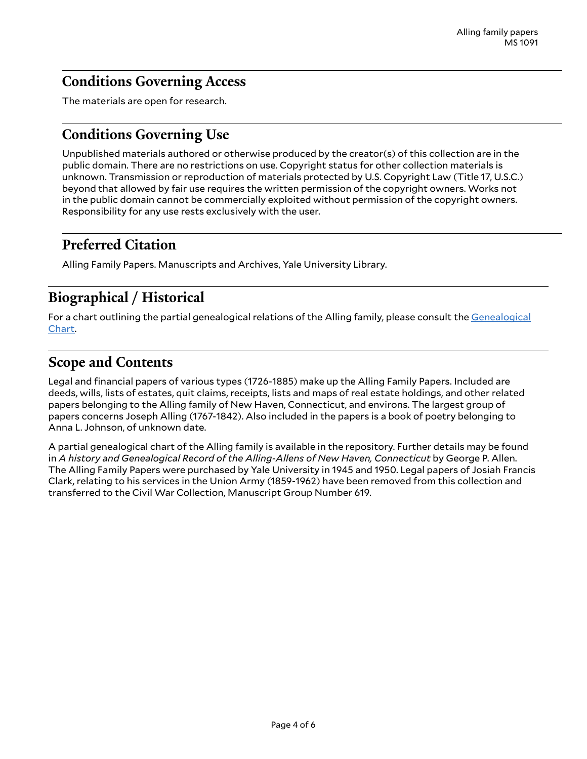# <span id="page-3-0"></span>**Conditions Governing Access**

The materials are open for research.

# <span id="page-3-1"></span>**Conditions Governing Use**

Unpublished materials authored or otherwise produced by the creator(s) of this collection are in the public domain. There are no restrictions on use. Copyright status for other collection materials is unknown. Transmission or reproduction of materials protected by U.S. Copyright Law (Title 17, U.S.C.) beyond that allowed by fair use requires the written permission of the copyright owners. Works not in the public domain cannot be commercially exploited without permission of the copyright owners. Responsibility for any use rests exclusively with the user.

# <span id="page-3-2"></span>**Preferred Citation**

Alling Family Papers. Manuscripts and Archives, Yale University Library.

# <span id="page-3-3"></span>**Biographical / Historical**

For a chart outlining the partial genealogical relations of the Alling family, please consult the [Genealogical](http://mssa.altfindingaids.library.yale.edu/mssa.ms.1091/mssa_ms_1091_partial_genealogical_chart.pdf) [Chart.](http://mssa.altfindingaids.library.yale.edu/mssa.ms.1091/mssa_ms_1091_partial_genealogical_chart.pdf)

# <span id="page-3-4"></span>**Scope and Contents**

Legal and financial papers of various types (1726-1885) make up the Alling Family Papers. Included are deeds, wills, lists of estates, quit claims, receipts, lists and maps of real estate holdings, and other related papers belonging to the Alling family of New Haven, Connecticut, and environs. The largest group of papers concerns Joseph Alling (1767-1842). Also included in the papers is a book of poetry belonging to Anna L. Johnson, of unknown date.

A partial genealogical chart of the Alling family is available in the repository. Further details may be found in *A history and Genealogical Record of the Alling-Allens of New Haven, Connecticut* by George P. Allen. The Alling Family Papers were purchased by Yale University in 1945 and 1950. Legal papers of Josiah Francis Clark, relating to his services in the Union Army (1859-1962) have been removed from this collection and transferred to the Civil War Collection, Manuscript Group Number 619.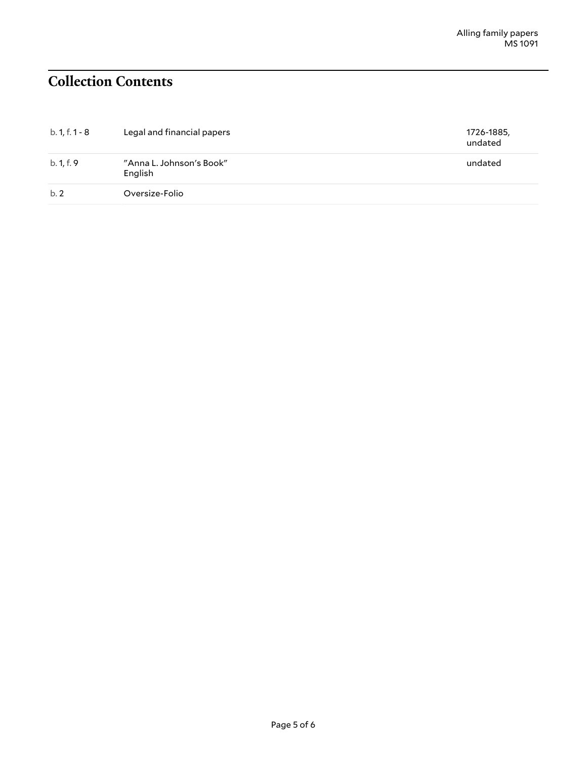# <span id="page-4-0"></span>**Collection Contents**

| $b. 1, f. 1 - 8$ | Legal and financial papers          | 1726-1885,<br>undated |
|------------------|-------------------------------------|-----------------------|
| b. 1, f. 9       | "Anna L. Johnson's Book"<br>English | undated               |
| b.2              | Oversize-Folio                      |                       |